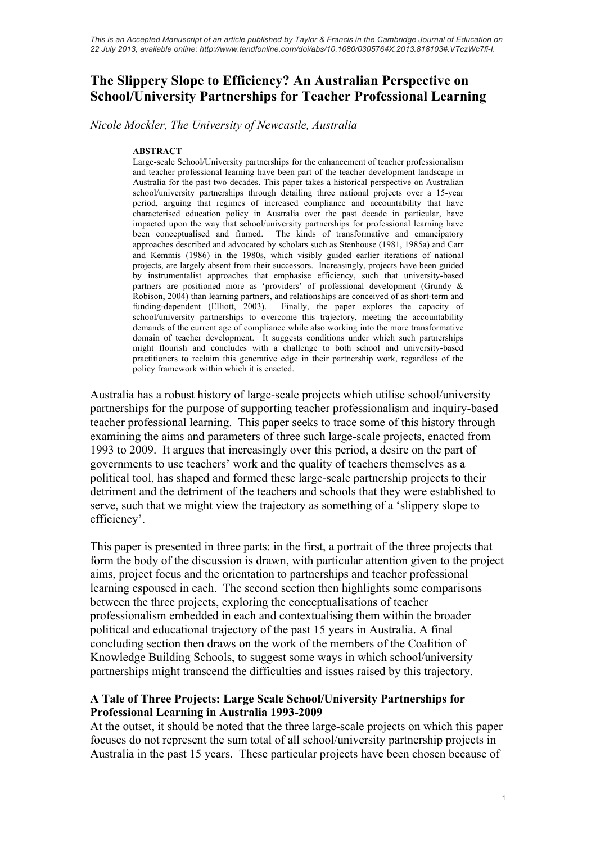# **The Slippery Slope to Efficiency? An Australian Perspective on School/University Partnerships for Teacher Professional Learning**

*Nicole Mockler, The University of Newcastle, Australia*

#### **ABSTRACT**

Large-scale School/University partnerships for the enhancement of teacher professionalism and teacher professional learning have been part of the teacher development landscape in Australia for the past two decades. This paper takes a historical perspective on Australian school/university partnerships through detailing three national projects over a 15-year period, arguing that regimes of increased compliance and accountability that have characterised education policy in Australia over the past decade in particular, have impacted upon the way that school/university partnerships for professional learning have been conceptualised and framed. The kinds of transformative and emancipatory approaches described and advocated by scholars such as Stenhouse (1981, 1985a) and Carr and Kemmis (1986) in the 1980s, which visibly guided earlier iterations of national projects, are largely absent from their successors. Increasingly, projects have been guided by instrumentalist approaches that emphasise efficiency, such that university-based partners are positioned more as 'providers' of professional development (Grundy & Robison, 2004) than learning partners, and relationships are conceived of as short-term and funding-dependent (Elliott, 2003). Finally, the paper explores the capacity of Finally, the paper explores the capacity of school/university partnerships to overcome this trajectory, meeting the accountability demands of the current age of compliance while also working into the more transformative domain of teacher development. It suggests conditions under which such partnerships might flourish and concludes with a challenge to both school and university-based practitioners to reclaim this generative edge in their partnership work, regardless of the policy framework within which it is enacted.

Australia has a robust history of large-scale projects which utilise school/university partnerships for the purpose of supporting teacher professionalism and inquiry-based teacher professional learning. This paper seeks to trace some of this history through examining the aims and parameters of three such large-scale projects, enacted from 1993 to 2009. It argues that increasingly over this period, a desire on the part of governments to use teachers' work and the quality of teachers themselves as a political tool, has shaped and formed these large-scale partnership projects to their detriment and the detriment of the teachers and schools that they were established to serve, such that we might view the trajectory as something of a 'slippery slope to efficiency'.

This paper is presented in three parts: in the first, a portrait of the three projects that form the body of the discussion is drawn, with particular attention given to the project aims, project focus and the orientation to partnerships and teacher professional learning espoused in each. The second section then highlights some comparisons between the three projects, exploring the conceptualisations of teacher professionalism embedded in each and contextualising them within the broader political and educational trajectory of the past 15 years in Australia. A final concluding section then draws on the work of the members of the Coalition of Knowledge Building Schools, to suggest some ways in which school/university partnerships might transcend the difficulties and issues raised by this trajectory.

#### **A Tale of Three Projects: Large Scale School/University Partnerships for Professional Learning in Australia 1993-2009**

At the outset, it should be noted that the three large-scale projects on which this paper focuses do not represent the sum total of all school/university partnership projects in Australia in the past 15 years. These particular projects have been chosen because of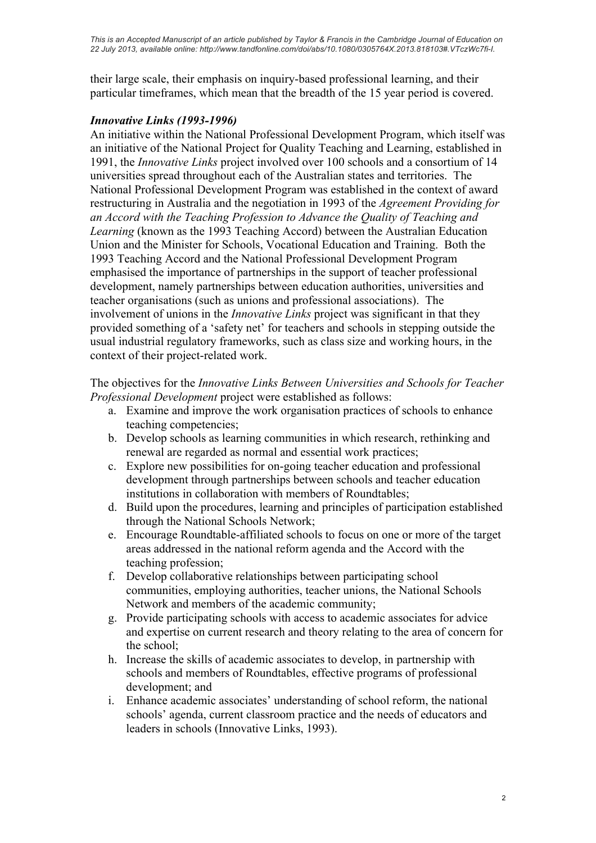their large scale, their emphasis on inquiry-based professional learning, and their particular timeframes, which mean that the breadth of the 15 year period is covered.

# *Innovative Links (1993-1996)*

An initiative within the National Professional Development Program, which itself was an initiative of the National Project for Quality Teaching and Learning, established in 1991, the *Innovative Links* project involved over 100 schools and a consortium of 14 universities spread throughout each of the Australian states and territories. The National Professional Development Program was established in the context of award restructuring in Australia and the negotiation in 1993 of the *Agreement Providing for an Accord with the Teaching Profession to Advance the Quality of Teaching and Learning* (known as the 1993 Teaching Accord) between the Australian Education Union and the Minister for Schools, Vocational Education and Training. Both the 1993 Teaching Accord and the National Professional Development Program emphasised the importance of partnerships in the support of teacher professional development, namely partnerships between education authorities, universities and teacher organisations (such as unions and professional associations). The involvement of unions in the *Innovative Links* project was significant in that they provided something of a 'safety net' for teachers and schools in stepping outside the usual industrial regulatory frameworks, such as class size and working hours, in the context of their project-related work.

The objectives for the *Innovative Links Between Universities and Schools for Teacher Professional Development* project were established as follows:

- a. Examine and improve the work organisation practices of schools to enhance teaching competencies;
- b. Develop schools as learning communities in which research, rethinking and renewal are regarded as normal and essential work practices;
- c. Explore new possibilities for on-going teacher education and professional development through partnerships between schools and teacher education institutions in collaboration with members of Roundtables;
- d. Build upon the procedures, learning and principles of participation established through the National Schools Network;
- e. Encourage Roundtable-affiliated schools to focus on one or more of the target areas addressed in the national reform agenda and the Accord with the teaching profession;
- f. Develop collaborative relationships between participating school communities, employing authorities, teacher unions, the National Schools Network and members of the academic community;
- g. Provide participating schools with access to academic associates for advice and expertise on current research and theory relating to the area of concern for the school;
- h. Increase the skills of academic associates to develop, in partnership with schools and members of Roundtables, effective programs of professional development; and
- i. Enhance academic associates' understanding of school reform, the national schools' agenda, current classroom practice and the needs of educators and leaders in schools (Innovative Links, 1993).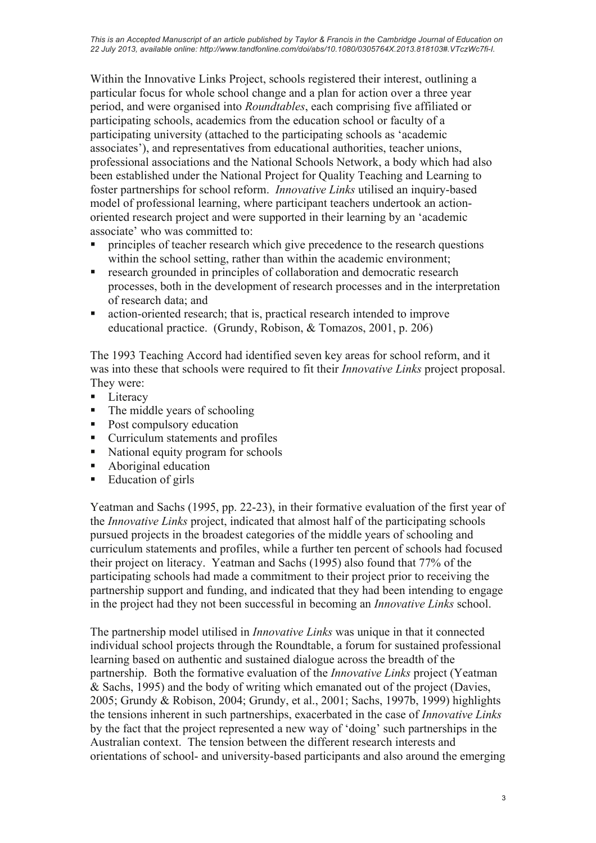Within the Innovative Links Project, schools registered their interest, outlining a particular focus for whole school change and a plan for action over a three year period, and were organised into *Roundtables*, each comprising five affiliated or participating schools, academics from the education school or faculty of a participating university (attached to the participating schools as 'academic associates'), and representatives from educational authorities, teacher unions, professional associations and the National Schools Network, a body which had also been established under the National Project for Quality Teaching and Learning to foster partnerships for school reform. *Innovative Links* utilised an inquiry-based model of professional learning, where participant teachers undertook an actionoriented research project and were supported in their learning by an 'academic associate' who was committed to:

- principles of teacher research which give precedence to the research questions within the school setting, rather than within the academic environment;
- **Exerch grounded in principles of collaboration and democratic research** processes, both in the development of research processes and in the interpretation of research data; and
- ! action-oriented research; that is, practical research intended to improve educational practice. (Grundy, Robison, & Tomazos, 2001, p. 206)

The 1993 Teaching Accord had identified seven key areas for school reform, and it was into these that schools were required to fit their *Innovative Links* project proposal. They were:

- **Literacy**
- The middle years of schooling
- Post compulsory education
- Curriculum statements and profiles
- ! National equity program for schools
- ! Aboriginal education
- Education of girls

Yeatman and Sachs (1995, pp. 22-23), in their formative evaluation of the first year of the *Innovative Links* project, indicated that almost half of the participating schools pursued projects in the broadest categories of the middle years of schooling and curriculum statements and profiles, while a further ten percent of schools had focused their project on literacy. Yeatman and Sachs (1995) also found that 77% of the participating schools had made a commitment to their project prior to receiving the partnership support and funding, and indicated that they had been intending to engage in the project had they not been successful in becoming an *Innovative Links* school.

The partnership model utilised in *Innovative Links* was unique in that it connected individual school projects through the Roundtable, a forum for sustained professional learning based on authentic and sustained dialogue across the breadth of the partnership. Both the formative evaluation of the *Innovative Links* project (Yeatman & Sachs, 1995) and the body of writing which emanated out of the project (Davies, 2005; Grundy & Robison, 2004; Grundy, et al., 2001; Sachs, 1997b, 1999) highlights the tensions inherent in such partnerships, exacerbated in the case of *Innovative Links* by the fact that the project represented a new way of 'doing' such partnerships in the Australian context. The tension between the different research interests and orientations of school- and university-based participants and also around the emerging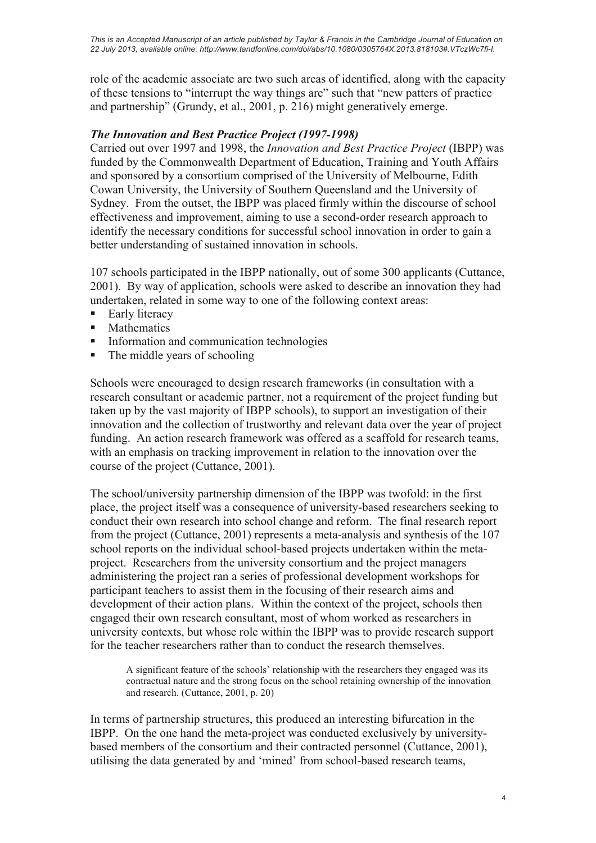role of the academic associate are two such areas of identified, along with the capacity of these tensions to "interrupt the way things are" such that "new patters of practice and partnership" (Grundy, et al., 2001, p. 216) might generatively emerge.

# *The Innovation and Best Practice Project (1997-1998)*

Carried out over 1997 and 1998, the *Innovation and Best Practice Project* (IBPP) was funded by the Commonwealth Department of Education, Training and Youth Affairs and sponsored by a consortium comprised of the University of Melbourne, Edith Cowan University, the University of Southern Queensland and the University of Sydney. From the outset, the IBPP was placed firmly within the discourse of school effectiveness and improvement, aiming to use a second-order research approach to identify the necessary conditions for successful school innovation in order to gain a better understanding of sustained innovation in schools.

107 schools participated in the IBPP nationally, out of some 300 applicants (Cuttance, 2001). By way of application, schools were asked to describe an innovation they had undertaken, related in some way to one of the following context areas:

- **Early literacy**
- **EXECUTE:** Mathematics
- **Information and communication technologies**
- The middle years of schooling

Schools were encouraged to design research frameworks (in consultation with a research consultant or academic partner, not a requirement of the project funding but taken up by the vast majority of IBPP schools), to support an investigation of their innovation and the collection of trustworthy and relevant data over the year of project funding. An action research framework was offered as a scaffold for research teams, with an emphasis on tracking improvement in relation to the innovation over the course of the project (Cuttance, 2001).

The school/university partnership dimension of the IBPP was twofold: in the first place, the project itself was a consequence of university-based researchers seeking to conduct their own research into school change and reform. The final research report from the project (Cuttance, 2001) represents a meta-analysis and synthesis of the 107 school reports on the individual school-based projects undertaken within the metaproject. Researchers from the university consortium and the project managers administering the project ran a series of professional development workshops for participant teachers to assist them in the focusing of their research aims and development of their action plans. Within the context of the project, schools then engaged their own research consultant, most of whom worked as researchers in university contexts, but whose role within the IBPP was to provide research support for the teacher researchers rather than to conduct the research themselves.

A significant feature of the schools' relationship with the researchers they engaged was its contractual nature and the strong focus on the school retaining ownership of the innovation and research. (Cuttance, 2001, p. 20)

In terms of partnership structures, this produced an interesting bifurcation in the IBPP. On the one hand the meta-project was conducted exclusively by universitybased members of the consortium and their contracted personnel (Cuttance, 2001), utilising the data generated by and 'mined' from school-based research teams,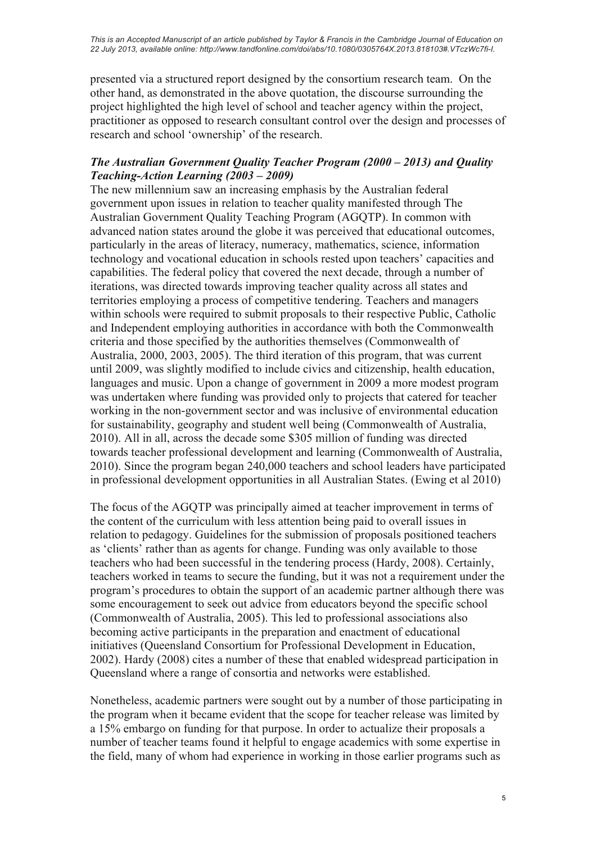presented via a structured report designed by the consortium research team. On the other hand, as demonstrated in the above quotation, the discourse surrounding the project highlighted the high level of school and teacher agency within the project, practitioner as opposed to research consultant control over the design and processes of research and school 'ownership' of the research.

# *The Australian Government Quality Teacher Program (2000 – 2013) and Quality Teaching-Action Learning (2003 – 2009)*

The new millennium saw an increasing emphasis by the Australian federal government upon issues in relation to teacher quality manifested through The Australian Government Quality Teaching Program (AGQTP). In common with advanced nation states around the globe it was perceived that educational outcomes, particularly in the areas of literacy, numeracy, mathematics, science, information technology and vocational education in schools rested upon teachers' capacities and capabilities. The federal policy that covered the next decade, through a number of iterations, was directed towards improving teacher quality across all states and territories employing a process of competitive tendering. Teachers and managers within schools were required to submit proposals to their respective Public, Catholic and Independent employing authorities in accordance with both the Commonwealth criteria and those specified by the authorities themselves (Commonwealth of Australia, 2000, 2003, 2005). The third iteration of this program, that was current until 2009, was slightly modified to include civics and citizenship, health education, languages and music. Upon a change of government in 2009 a more modest program was undertaken where funding was provided only to projects that catered for teacher working in the non-government sector and was inclusive of environmental education for sustainability, geography and student well being (Commonwealth of Australia, 2010). All in all, across the decade some \$305 million of funding was directed towards teacher professional development and learning (Commonwealth of Australia, 2010). Since the program began 240,000 teachers and school leaders have participated in professional development opportunities in all Australian States. (Ewing et al 2010)

The focus of the AGQTP was principally aimed at teacher improvement in terms of the content of the curriculum with less attention being paid to overall issues in relation to pedagogy. Guidelines for the submission of proposals positioned teachers as 'clients' rather than as agents for change. Funding was only available to those teachers who had been successful in the tendering process (Hardy, 2008). Certainly, teachers worked in teams to secure the funding, but it was not a requirement under the program's procedures to obtain the support of an academic partner although there was some encouragement to seek out advice from educators beyond the specific school (Commonwealth of Australia, 2005). This led to professional associations also becoming active participants in the preparation and enactment of educational initiatives (Queensland Consortium for Professional Development in Education, 2002). Hardy (2008) cites a number of these that enabled widespread participation in Queensland where a range of consortia and networks were established.

Nonetheless, academic partners were sought out by a number of those participating in the program when it became evident that the scope for teacher release was limited by a 15% embargo on funding for that purpose. In order to actualize their proposals a number of teacher teams found it helpful to engage academics with some expertise in the field, many of whom had experience in working in those earlier programs such as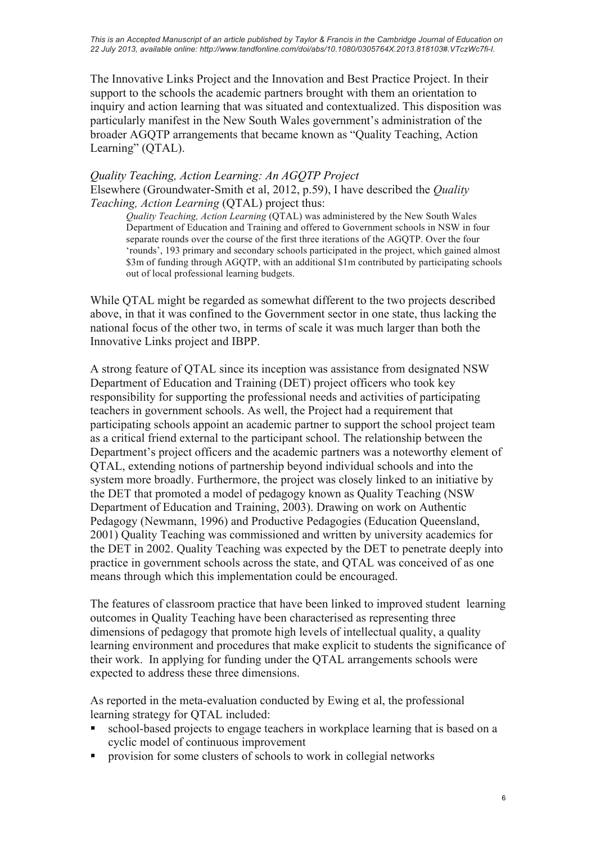The Innovative Links Project and the Innovation and Best Practice Project. In their support to the schools the academic partners brought with them an orientation to inquiry and action learning that was situated and contextualized. This disposition was particularly manifest in the New South Wales government's administration of the broader AGQTP arrangements that became known as "Quality Teaching, Action Learning" (QTAL).

#### *Quality Teaching, Action Learning: An AGQTP Project* Elsewhere (Groundwater-Smith et al, 2012, p.59), I have described the *Quality Teaching, Action Learning* (QTAL) project thus:

*Quality Teaching, Action Learning* (QTAL) was administered by the New South Wales Department of Education and Training and offered to Government schools in NSW in four separate rounds over the course of the first three iterations of the AGQTP. Over the four 'rounds', 193 primary and secondary schools participated in the project, which gained almost \$3m of funding through AGQTP, with an additional \$1m contributed by participating schools out of local professional learning budgets.

While QTAL might be regarded as somewhat different to the two projects described above, in that it was confined to the Government sector in one state, thus lacking the national focus of the other two, in terms of scale it was much larger than both the Innovative Links project and IBPP.

A strong feature of QTAL since its inception was assistance from designated NSW Department of Education and Training (DET) project officers who took key responsibility for supporting the professional needs and activities of participating teachers in government schools. As well, the Project had a requirement that participating schools appoint an academic partner to support the school project team as a critical friend external to the participant school. The relationship between the Department's project officers and the academic partners was a noteworthy element of QTAL, extending notions of partnership beyond individual schools and into the system more broadly. Furthermore, the project was closely linked to an initiative by the DET that promoted a model of pedagogy known as Quality Teaching (NSW Department of Education and Training, 2003). Drawing on work on Authentic Pedagogy (Newmann, 1996) and Productive Pedagogies (Education Queensland, 2001) Quality Teaching was commissioned and written by university academics for the DET in 2002. Quality Teaching was expected by the DET to penetrate deeply into practice in government schools across the state, and QTAL was conceived of as one means through which this implementation could be encouraged.

The features of classroom practice that have been linked to improved student learning outcomes in Quality Teaching have been characterised as representing three dimensions of pedagogy that promote high levels of intellectual quality, a quality learning environment and procedures that make explicit to students the significance of their work. In applying for funding under the QTAL arrangements schools were expected to address these three dimensions.

As reported in the meta-evaluation conducted by Ewing et al, the professional learning strategy for QTAL included:

- school-based projects to engage teachers in workplace learning that is based on a cyclic model of continuous improvement
- ! provision for some clusters of schools to work in collegial networks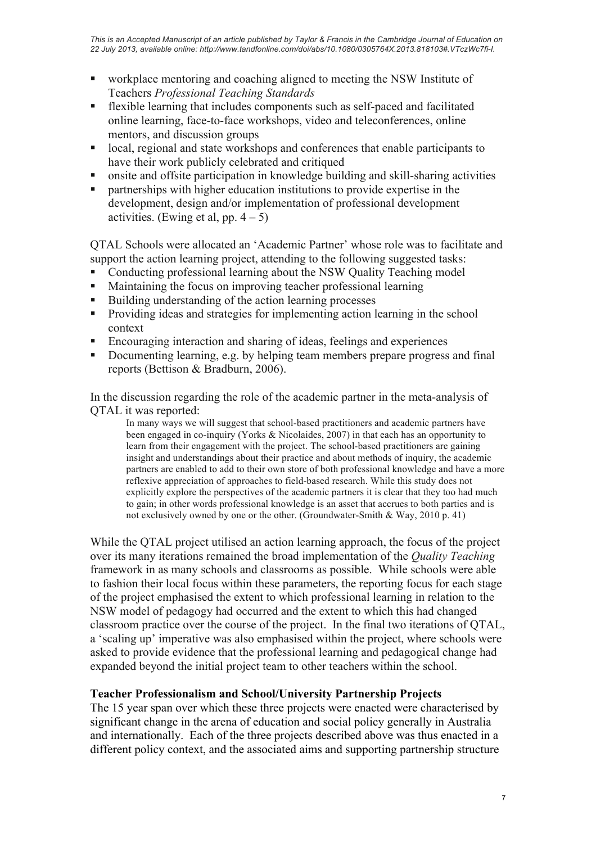- ! workplace mentoring and coaching aligned to meeting the NSW Institute of Teachers *Professional Teaching Standards*
- ! flexible learning that includes components such as self-paced and facilitated online learning, face-to-face workshops, video and teleconferences, online mentors, and discussion groups
- ! local, regional and state workshops and conferences that enable participants to have their work publicly celebrated and critiqued
- ! onsite and offsite participation in knowledge building and skill-sharing activities
- ! partnerships with higher education institutions to provide expertise in the development, design and/or implementation of professional development activities. (Ewing et al, pp.  $4 - 5$ )

QTAL Schools were allocated an 'Academic Partner' whose role was to facilitate and support the action learning project, attending to the following suggested tasks:

- ! Conducting professional learning about the NSW Quality Teaching model
- ! Maintaining the focus on improving teacher professional learning
- ! Building understanding of the action learning processes
- ! Providing ideas and strategies for implementing action learning in the school context
- ! Encouraging interaction and sharing of ideas, feelings and experiences
- ! Documenting learning, e.g. by helping team members prepare progress and final reports (Bettison & Bradburn, 2006).

In the discussion regarding the role of the academic partner in the meta-analysis of QTAL it was reported:

In many ways we will suggest that school-based practitioners and academic partners have been engaged in co-inquiry (Yorks & Nicolaides, 2007) in that each has an opportunity to learn from their engagement with the project. The school-based practitioners are gaining insight and understandings about their practice and about methods of inquiry, the academic partners are enabled to add to their own store of both professional knowledge and have a more reflexive appreciation of approaches to field-based research. While this study does not explicitly explore the perspectives of the academic partners it is clear that they too had much to gain; in other words professional knowledge is an asset that accrues to both parties and is not exclusively owned by one or the other. (Groundwater-Smith & Way, 2010 p. 41)

While the QTAL project utilised an action learning approach, the focus of the project over its many iterations remained the broad implementation of the *Quality Teaching* framework in as many schools and classrooms as possible. While schools were able to fashion their local focus within these parameters, the reporting focus for each stage of the project emphasised the extent to which professional learning in relation to the NSW model of pedagogy had occurred and the extent to which this had changed classroom practice over the course of the project. In the final two iterations of QTAL, a 'scaling up' imperative was also emphasised within the project, where schools were asked to provide evidence that the professional learning and pedagogical change had expanded beyond the initial project team to other teachers within the school.

# **Teacher Professionalism and School/University Partnership Projects**

The 15 year span over which these three projects were enacted were characterised by significant change in the arena of education and social policy generally in Australia and internationally. Each of the three projects described above was thus enacted in a different policy context, and the associated aims and supporting partnership structure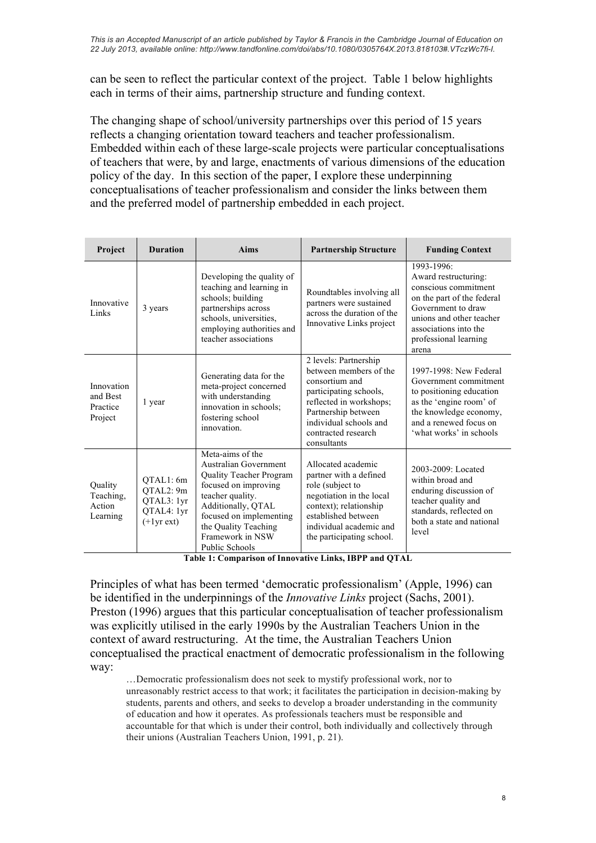can be seen to reflect the particular context of the project. Table 1 below highlights each in terms of their aims, partnership structure and funding context.

The changing shape of school/university partnerships over this period of 15 years reflects a changing orientation toward teachers and teacher professionalism. Embedded within each of these large-scale projects were particular conceptualisations of teachers that were, by and large, enactments of various dimensions of the education policy of the day. In this section of the paper, I explore these underpinning conceptualisations of teacher professionalism and consider the links between them and the preferred model of partnership embedded in each project.

| Project                                       | <b>Duration</b>                                                    | <b>Aims</b>                                                                                                                                                                                                                                            | <b>Partnership Structure</b>                                                                                                                                                                                                                                                               | <b>Funding Context</b>                                                                                                                                                                                |
|-----------------------------------------------|--------------------------------------------------------------------|--------------------------------------------------------------------------------------------------------------------------------------------------------------------------------------------------------------------------------------------------------|--------------------------------------------------------------------------------------------------------------------------------------------------------------------------------------------------------------------------------------------------------------------------------------------|-------------------------------------------------------------------------------------------------------------------------------------------------------------------------------------------------------|
| Innovative<br>Links                           | 3 years                                                            | Developing the quality of<br>teaching and learning in<br>schools; building<br>partnerships across<br>schools, universities,<br>employing authorities and<br>teacher associations                                                                       | Roundtables involving all<br>partners were sustained<br>across the duration of the<br>Innovative Links project                                                                                                                                                                             | 1993-1996:<br>Award restructuring:<br>conscious commitment<br>on the part of the federal<br>Government to draw<br>unions and other teacher<br>associations into the<br>professional learning<br>arena |
| Innovation<br>and Best<br>Practice<br>Project | 1 year                                                             | Generating data for the<br>meta-project concerned<br>with understanding<br>innovation in schools;<br>fostering school<br>innovation.                                                                                                                   | 2 levels: Partnership<br>between members of the<br>consortium and<br>participating schools,<br>reflected in workshops;<br>Partnership between<br>individual schools and<br>contracted research<br>consultants                                                                              | 1997-1998: New Federal<br>Government commitment<br>to positioning education<br>as the 'engine room' of<br>the knowledge economy,<br>and a renewed focus on<br>'what works' in schools                 |
| Quality<br>Teaching,<br>Action<br>Learning    | QTAL1: 6m<br>QTAL2: 9m<br>QTAL3: 1yr<br>QTAL4: 1yr<br>$(+1yr ext)$ | Meta-aims of the<br><b>Australian Government</b><br>Quality Teacher Program<br>focused on improving<br>teacher quality.<br>Additionally, QTAL<br>focused on implementing<br>the Quality Teaching<br>Framework in NSW<br>Public Schools<br>$\mathbf{a}$ | Allocated academic<br>partner with a defined<br>role (subject to<br>negotiation in the local<br>context); relationship<br>established between<br>individual academic and<br>the participating school.<br>$\mathbf{r}$ is the state of $\mathbf{r}$<br>$\mathbf{1}$ $\alpha$ m $\mathbf{1}$ | 2003-2009: Located<br>within broad and<br>enduring discussion of<br>teacher quality and<br>standards, reflected on<br>both a state and national<br>level                                              |

**Table 1: Comparison of Innovative Links, IBPP and QTAL**

Principles of what has been termed 'democratic professionalism' (Apple, 1996) can be identified in the underpinnings of the *Innovative Links* project (Sachs, 2001). Preston (1996) argues that this particular conceptualisation of teacher professionalism was explicitly utilised in the early 1990s by the Australian Teachers Union in the context of award restructuring. At the time, the Australian Teachers Union conceptualised the practical enactment of democratic professionalism in the following way:

…Democratic professionalism does not seek to mystify professional work, nor to unreasonably restrict access to that work; it facilitates the participation in decision-making by students, parents and others, and seeks to develop a broader understanding in the community of education and how it operates. As professionals teachers must be responsible and accountable for that which is under their control, both individually and collectively through their unions (Australian Teachers Union, 1991, p. 21).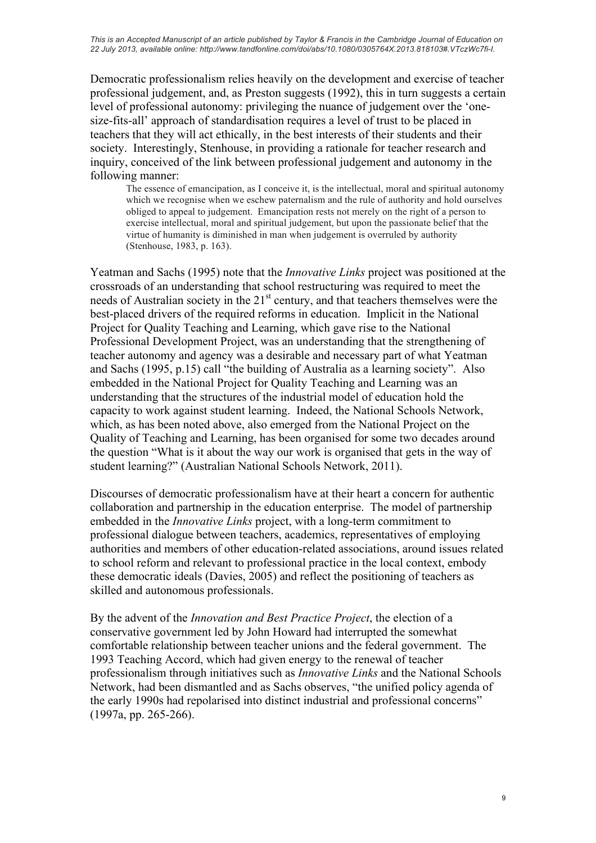*This is an Accepted Manuscript of an article published by Taylor & Francis in the Cambridge Journal of Education on 22 July 2013, available online: http://www.tandfonline.com/doi/abs/10.1080/0305764X.2013.818103#.VTczWc7fi-I.*

Democratic professionalism relies heavily on the development and exercise of teacher professional judgement, and, as Preston suggests (1992), this in turn suggests a certain level of professional autonomy: privileging the nuance of judgement over the 'onesize-fits-all' approach of standardisation requires a level of trust to be placed in teachers that they will act ethically, in the best interests of their students and their society. Interestingly, Stenhouse, in providing a rationale for teacher research and inquiry, conceived of the link between professional judgement and autonomy in the following manner:

The essence of emancipation, as I conceive it, is the intellectual, moral and spiritual autonomy which we recognise when we eschew paternalism and the rule of authority and hold ourselves obliged to appeal to judgement. Emancipation rests not merely on the right of a person to exercise intellectual, moral and spiritual judgement, but upon the passionate belief that the virtue of humanity is diminished in man when judgement is overruled by authority (Stenhouse, 1983, p. 163).

Yeatman and Sachs (1995) note that the *Innovative Links* project was positioned at the crossroads of an understanding that school restructuring was required to meet the needs of Australian society in the  $21<sup>st</sup>$  century, and that teachers themselves were the best-placed drivers of the required reforms in education. Implicit in the National Project for Quality Teaching and Learning, which gave rise to the National Professional Development Project, was an understanding that the strengthening of teacher autonomy and agency was a desirable and necessary part of what Yeatman and Sachs (1995, p.15) call "the building of Australia as a learning society". Also embedded in the National Project for Quality Teaching and Learning was an understanding that the structures of the industrial model of education hold the capacity to work against student learning. Indeed, the National Schools Network, which, as has been noted above, also emerged from the National Project on the Quality of Teaching and Learning, has been organised for some two decades around the question "What is it about the way our work is organised that gets in the way of student learning?" (Australian National Schools Network, 2011).

Discourses of democratic professionalism have at their heart a concern for authentic collaboration and partnership in the education enterprise. The model of partnership embedded in the *Innovative Links* project, with a long-term commitment to professional dialogue between teachers, academics, representatives of employing authorities and members of other education-related associations, around issues related to school reform and relevant to professional practice in the local context, embody these democratic ideals (Davies, 2005) and reflect the positioning of teachers as skilled and autonomous professionals.

By the advent of the *Innovation and Best Practice Project*, the election of a conservative government led by John Howard had interrupted the somewhat comfortable relationship between teacher unions and the federal government. The 1993 Teaching Accord, which had given energy to the renewal of teacher professionalism through initiatives such as *Innovative Links* and the National Schools Network, had been dismantled and as Sachs observes, "the unified policy agenda of the early 1990s had repolarised into distinct industrial and professional concerns" (1997a, pp. 265-266).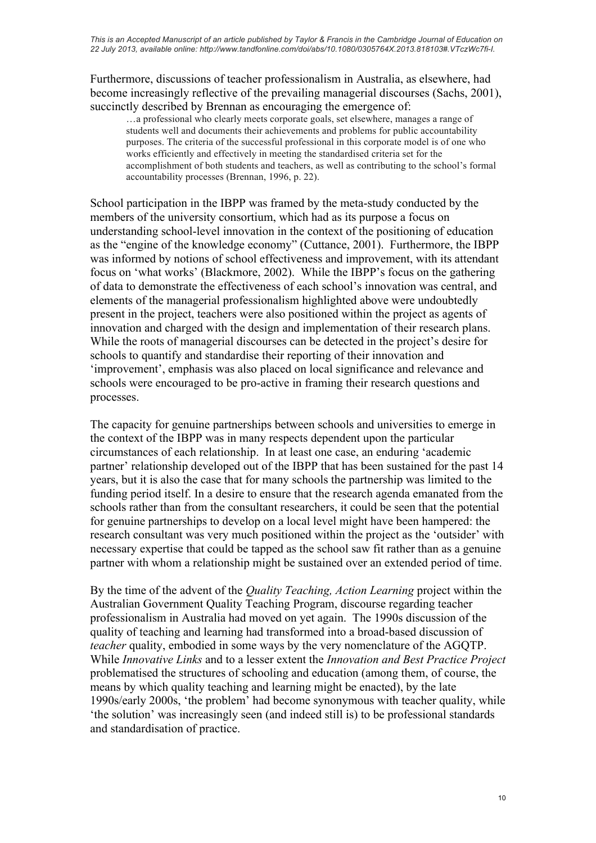Furthermore, discussions of teacher professionalism in Australia, as elsewhere, had become increasingly reflective of the prevailing managerial discourses (Sachs, 2001), succinctly described by Brennan as encouraging the emergence of

…a professional who clearly meets corporate goals, set elsewhere, manages a range of students well and documents their achievements and problems for public accountability purposes. The criteria of the successful professional in this corporate model is of one who works efficiently and effectively in meeting the standardised criteria set for the accomplishment of both students and teachers, as well as contributing to the school's formal accountability processes (Brennan, 1996, p. 22).

School participation in the IBPP was framed by the meta-study conducted by the members of the university consortium, which had as its purpose a focus on understanding school-level innovation in the context of the positioning of education as the "engine of the knowledge economy" (Cuttance, 2001). Furthermore, the IBPP was informed by notions of school effectiveness and improvement, with its attendant focus on 'what works' (Blackmore, 2002). While the IBPP's focus on the gathering of data to demonstrate the effectiveness of each school's innovation was central, and elements of the managerial professionalism highlighted above were undoubtedly present in the project, teachers were also positioned within the project as agents of innovation and charged with the design and implementation of their research plans. While the roots of managerial discourses can be detected in the project's desire for schools to quantify and standardise their reporting of their innovation and 'improvement', emphasis was also placed on local significance and relevance and schools were encouraged to be pro-active in framing their research questions and processes.

The capacity for genuine partnerships between schools and universities to emerge in the context of the IBPP was in many respects dependent upon the particular circumstances of each relationship. In at least one case, an enduring 'academic partner' relationship developed out of the IBPP that has been sustained for the past 14 years, but it is also the case that for many schools the partnership was limited to the funding period itself. In a desire to ensure that the research agenda emanated from the schools rather than from the consultant researchers, it could be seen that the potential for genuine partnerships to develop on a local level might have been hampered: the research consultant was very much positioned within the project as the 'outsider' with necessary expertise that could be tapped as the school saw fit rather than as a genuine partner with whom a relationship might be sustained over an extended period of time.

By the time of the advent of the *Quality Teaching, Action Learning* project within the Australian Government Quality Teaching Program, discourse regarding teacher professionalism in Australia had moved on yet again. The 1990s discussion of the quality of teaching and learning had transformed into a broad-based discussion of *teacher* quality, embodied in some ways by the very nomenclature of the AGQTP. While *Innovative Links* and to a lesser extent the *Innovation and Best Practice Project* problematised the structures of schooling and education (among them, of course, the means by which quality teaching and learning might be enacted), by the late 1990s/early 2000s, 'the problem' had become synonymous with teacher quality, while 'the solution' was increasingly seen (and indeed still is) to be professional standards and standardisation of practice.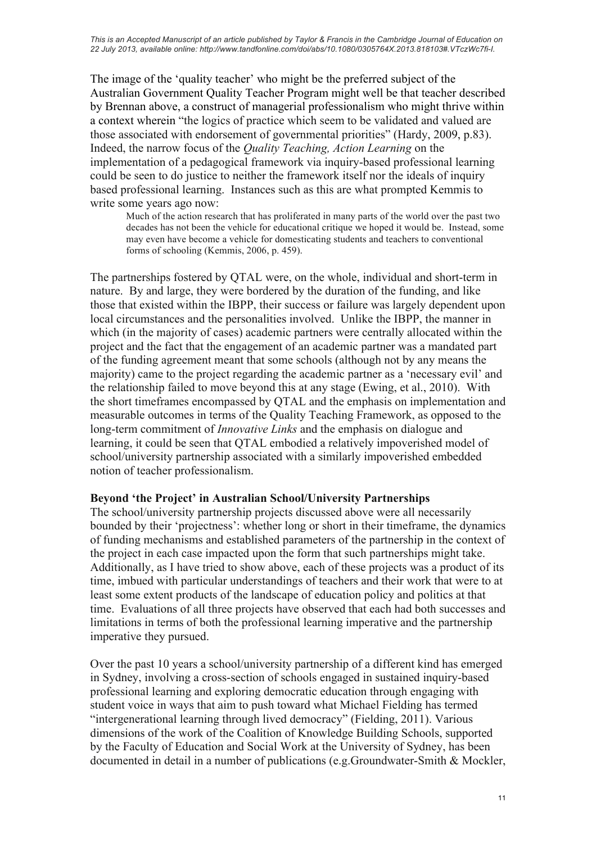The image of the 'quality teacher' who might be the preferred subject of the Australian Government Quality Teacher Program might well be that teacher described by Brennan above, a construct of managerial professionalism who might thrive within a context wherein "the logics of practice which seem to be validated and valued are those associated with endorsement of governmental priorities" (Hardy, 2009, p.83). Indeed, the narrow focus of the *Quality Teaching, Action Learning* on the implementation of a pedagogical framework via inquiry-based professional learning could be seen to do justice to neither the framework itself nor the ideals of inquiry based professional learning. Instances such as this are what prompted Kemmis to write some years ago now:

Much of the action research that has proliferated in many parts of the world over the past two decades has not been the vehicle for educational critique we hoped it would be. Instead, some may even have become a vehicle for domesticating students and teachers to conventional forms of schooling (Kemmis, 2006, p. 459).

The partnerships fostered by QTAL were, on the whole, individual and short-term in nature. By and large, they were bordered by the duration of the funding, and like those that existed within the IBPP, their success or failure was largely dependent upon local circumstances and the personalities involved. Unlike the IBPP, the manner in which (in the majority of cases) academic partners were centrally allocated within the project and the fact that the engagement of an academic partner was a mandated part of the funding agreement meant that some schools (although not by any means the majority) came to the project regarding the academic partner as a 'necessary evil' and the relationship failed to move beyond this at any stage (Ewing, et al., 2010). With the short timeframes encompassed by QTAL and the emphasis on implementation and measurable outcomes in terms of the Quality Teaching Framework, as opposed to the long-term commitment of *Innovative Links* and the emphasis on dialogue and learning, it could be seen that QTAL embodied a relatively impoverished model of school/university partnership associated with a similarly impoverished embedded notion of teacher professionalism.

# **Beyond 'the Project' in Australian School/University Partnerships**

The school/university partnership projects discussed above were all necessarily bounded by their 'projectness': whether long or short in their timeframe, the dynamics of funding mechanisms and established parameters of the partnership in the context of the project in each case impacted upon the form that such partnerships might take. Additionally, as I have tried to show above, each of these projects was a product of its time, imbued with particular understandings of teachers and their work that were to at least some extent products of the landscape of education policy and politics at that time. Evaluations of all three projects have observed that each had both successes and limitations in terms of both the professional learning imperative and the partnership imperative they pursued.

Over the past 10 years a school/university partnership of a different kind has emerged in Sydney, involving a cross-section of schools engaged in sustained inquiry-based professional learning and exploring democratic education through engaging with student voice in ways that aim to push toward what Michael Fielding has termed "intergenerational learning through lived democracy" (Fielding, 2011). Various dimensions of the work of the Coalition of Knowledge Building Schools, supported by the Faculty of Education and Social Work at the University of Sydney, has been documented in detail in a number of publications (e.g.Groundwater-Smith & Mockler,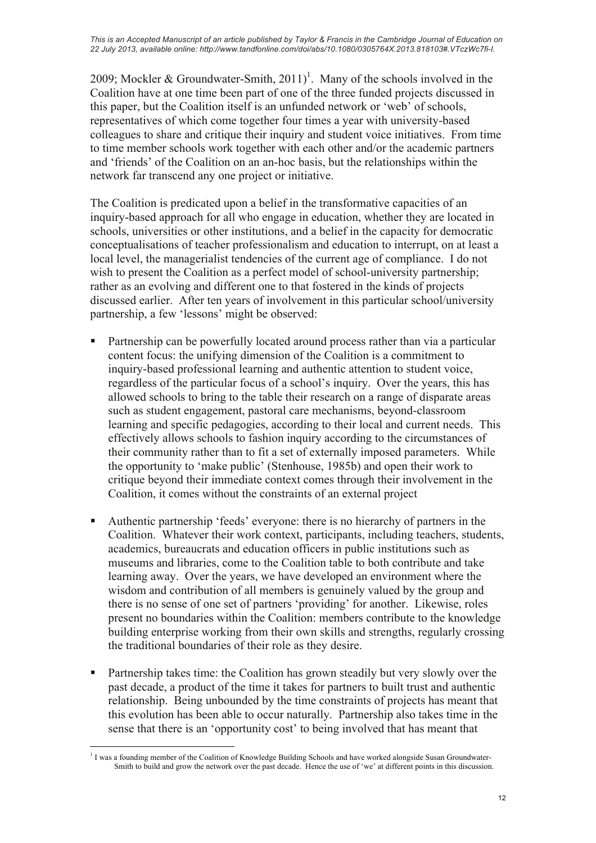2009; Mockler & Groundwater-Smith,  $2011$ <sup>1</sup>. Many of the schools involved in the Coalition have at one time been part of one of the three funded projects discussed in this paper, but the Coalition itself is an unfunded network or 'web' of schools, representatives of which come together four times a year with university-based colleagues to share and critique their inquiry and student voice initiatives. From time to time member schools work together with each other and/or the academic partners and 'friends' of the Coalition on an an-hoc basis, but the relationships within the network far transcend any one project or initiative.

The Coalition is predicated upon a belief in the transformative capacities of an inquiry-based approach for all who engage in education, whether they are located in schools, universities or other institutions, and a belief in the capacity for democratic conceptualisations of teacher professionalism and education to interrupt, on at least a local level, the managerialist tendencies of the current age of compliance. I do not wish to present the Coalition as a perfect model of school-university partnership; rather as an evolving and different one to that fostered in the kinds of projects discussed earlier. After ten years of involvement in this particular school/university partnership, a few 'lessons' might be observed:

- ! Partnership can be powerfully located around process rather than via a particular content focus: the unifying dimension of the Coalition is a commitment to inquiry-based professional learning and authentic attention to student voice, regardless of the particular focus of a school's inquiry. Over the years, this has allowed schools to bring to the table their research on a range of disparate areas such as student engagement, pastoral care mechanisms, beyond-classroom learning and specific pedagogies, according to their local and current needs. This effectively allows schools to fashion inquiry according to the circumstances of their community rather than to fit a set of externally imposed parameters. While the opportunity to 'make public' (Stenhouse, 1985b) and open their work to critique beyond their immediate context comes through their involvement in the Coalition, it comes without the constraints of an external project
- ! Authentic partnership 'feeds' everyone: there is no hierarchy of partners in the Coalition. Whatever their work context, participants, including teachers, students, academics, bureaucrats and education officers in public institutions such as museums and libraries, come to the Coalition table to both contribute and take learning away. Over the years, we have developed an environment where the wisdom and contribution of all members is genuinely valued by the group and there is no sense of one set of partners 'providing' for another. Likewise, roles present no boundaries within the Coalition: members contribute to the knowledge building enterprise working from their own skills and strengths, regularly crossing the traditional boundaries of their role as they desire.
- ! Partnership takes time: the Coalition has grown steadily but very slowly over the past decade, a product of the time it takes for partners to built trust and authentic relationship. Being unbounded by the time constraints of projects has meant that this evolution has been able to occur naturally. Partnership also takes time in the sense that there is an 'opportunity cost' to being involved that has meant that

<sup>&</sup>lt;sup>1</sup> I was a founding member of the Coalition of Knowledge Building Schools and have worked alongside Susan Groundwater-Smith to build and grow the network over the past decade. Hence the use of 'we' at different points in this discussion.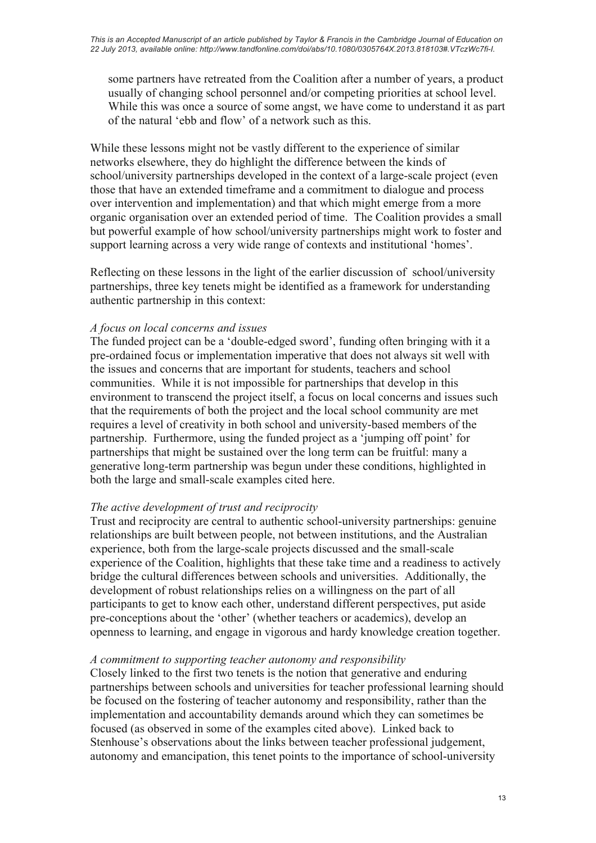some partners have retreated from the Coalition after a number of years, a product usually of changing school personnel and/or competing priorities at school level. While this was once a source of some angst, we have come to understand it as part of the natural 'ebb and flow' of a network such as this.

While these lessons might not be vastly different to the experience of similar networks elsewhere, they do highlight the difference between the kinds of school/university partnerships developed in the context of a large-scale project (even those that have an extended timeframe and a commitment to dialogue and process over intervention and implementation) and that which might emerge from a more organic organisation over an extended period of time. The Coalition provides a small but powerful example of how school/university partnerships might work to foster and support learning across a very wide range of contexts and institutional 'homes'.

Reflecting on these lessons in the light of the earlier discussion of school/university partnerships, three key tenets might be identified as a framework for understanding authentic partnership in this context:

#### *A focus on local concerns and issues*

The funded project can be a 'double-edged sword', funding often bringing with it a pre-ordained focus or implementation imperative that does not always sit well with the issues and concerns that are important for students, teachers and school communities. While it is not impossible for partnerships that develop in this environment to transcend the project itself, a focus on local concerns and issues such that the requirements of both the project and the local school community are met requires a level of creativity in both school and university-based members of the partnership. Furthermore, using the funded project as a 'jumping off point' for partnerships that might be sustained over the long term can be fruitful: many a generative long-term partnership was begun under these conditions, highlighted in both the large and small-scale examples cited here.

# *The active development of trust and reciprocity*

Trust and reciprocity are central to authentic school-university partnerships: genuine relationships are built between people, not between institutions, and the Australian experience, both from the large-scale projects discussed and the small-scale experience of the Coalition, highlights that these take time and a readiness to actively bridge the cultural differences between schools and universities. Additionally, the development of robust relationships relies on a willingness on the part of all participants to get to know each other, understand different perspectives, put aside pre-conceptions about the 'other' (whether teachers or academics), develop an openness to learning, and engage in vigorous and hardy knowledge creation together.

# *A commitment to supporting teacher autonomy and responsibility*

Closely linked to the first two tenets is the notion that generative and enduring partnerships between schools and universities for teacher professional learning should be focused on the fostering of teacher autonomy and responsibility, rather than the implementation and accountability demands around which they can sometimes be focused (as observed in some of the examples cited above). Linked back to Stenhouse's observations about the links between teacher professional judgement, autonomy and emancipation, this tenet points to the importance of school-university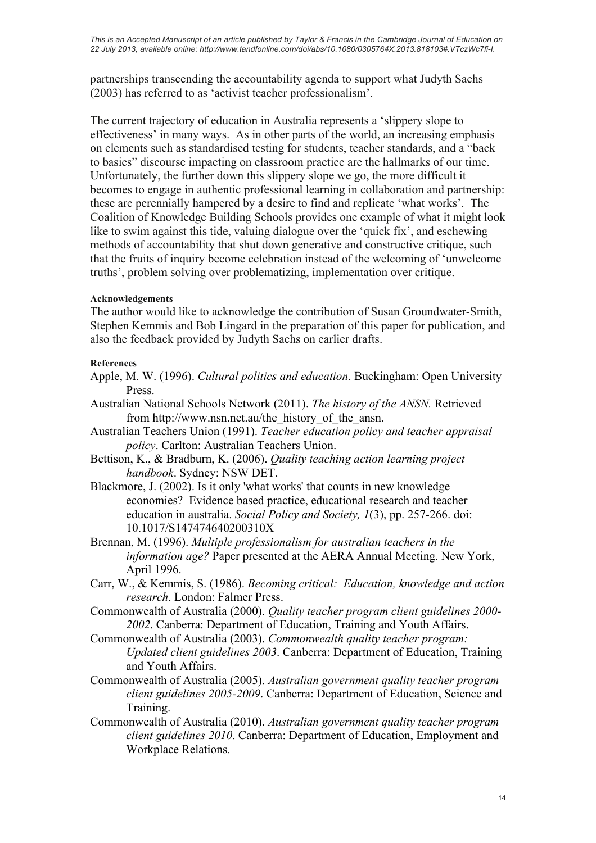partnerships transcending the accountability agenda to support what Judyth Sachs (2003) has referred to as 'activist teacher professionalism'.

The current trajectory of education in Australia represents a 'slippery slope to effectiveness' in many ways. As in other parts of the world, an increasing emphasis on elements such as standardised testing for students, teacher standards, and a "back to basics" discourse impacting on classroom practice are the hallmarks of our time. Unfortunately, the further down this slippery slope we go, the more difficult it becomes to engage in authentic professional learning in collaboration and partnership: these are perennially hampered by a desire to find and replicate 'what works'. The Coalition of Knowledge Building Schools provides one example of what it might look like to swim against this tide, valuing dialogue over the 'quick fix', and eschewing methods of accountability that shut down generative and constructive critique, such that the fruits of inquiry become celebration instead of the welcoming of 'unwelcome truths', problem solving over problematizing, implementation over critique.

#### **Acknowledgements**

The author would like to acknowledge the contribution of Susan Groundwater-Smith, Stephen Kemmis and Bob Lingard in the preparation of this paper for publication, and also the feedback provided by Judyth Sachs on earlier drafts.

#### **References**

- Apple, M. W. (1996). *Cultural politics and education*. Buckingham: Open University Press.
- Australian National Schools Network (2011). *The history of the ANSN.* Retrieved from http://www.nsn.net.au/the\_history\_of\_the\_ansn.
- Australian Teachers Union (1991). *Teacher education policy and teacher appraisal policy*. Carlton: Australian Teachers Union.
- Bettison, K., & Bradburn, K. (2006). *Quality teaching action learning project handbook*. Sydney: NSW DET.
- Blackmore, J. (2002). Is it only 'what works' that counts in new knowledge economies? Evidence based practice, educational research and teacher education in australia. *Social Policy and Society, 1*(3), pp. 257-266. doi: 10.1017/S147474640200310X
- Brennan, M. (1996). *Multiple professionalism for australian teachers in the information age?* Paper presented at the AERA Annual Meeting. New York, April 1996.
- Carr, W., & Kemmis, S. (1986). *Becoming critical: Education, knowledge and action research*. London: Falmer Press.
- Commonwealth of Australia (2000). *Quality teacher program client guidelines 2000- 2002*. Canberra: Department of Education, Training and Youth Affairs.
- Commonwealth of Australia (2003). *Commonwealth quality teacher program: Updated client guidelines 2003*. Canberra: Department of Education, Training and Youth Affairs.
- Commonwealth of Australia (2005). *Australian government quality teacher program client guidelines 2005-2009*. Canberra: Department of Education, Science and Training.
- Commonwealth of Australia (2010). *Australian government quality teacher program client guidelines 2010*. Canberra: Department of Education, Employment and Workplace Relations.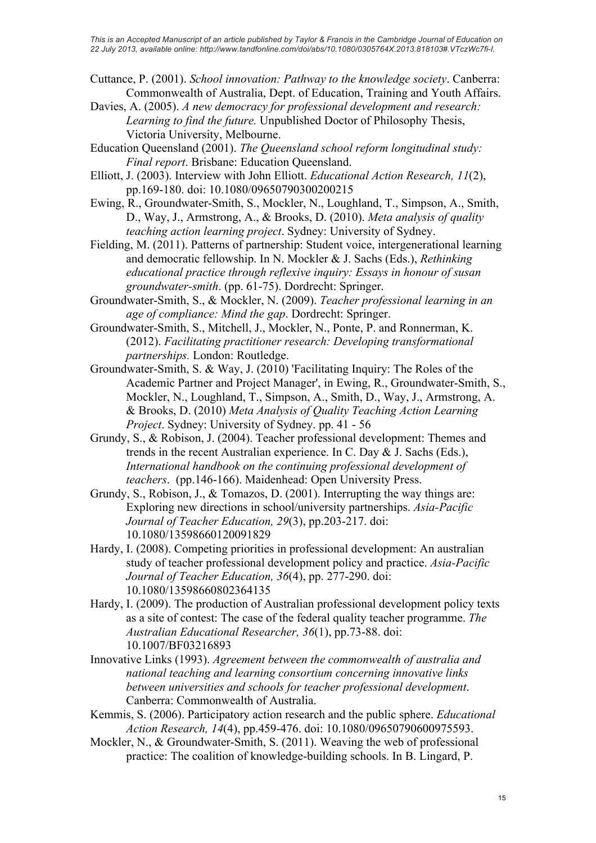- Cuttance, P. (2001). *School innovation: Pathway to the knowledge society*. Canberra: Commonwealth of Australia, Dept. of Education, Training and Youth Affairs.
- Davies, A. (2005). *A new democracy for professional development and research: Learning to find the future.* Unpublished Doctor of Philosophy Thesis, Victoria University, Melbourne.

Education Queensland (2001). *The Queensland school reform longitudinal study: Final report*. Brisbane: Education Queensland.

- Elliott, J. (2003). Interview with John Elliott. *Educational Action Research, 11*(2), pp.169-180. doi: 10.1080/09650790300200215
- Ewing, R., Groundwater-Smith, S., Mockler, N., Loughland, T., Simpson, A., Smith, D., Way, J., Armstrong, A., & Brooks, D. (2010). *Meta analysis of quality teaching action learning project*. Sydney: University of Sydney.
- Fielding, M. (2011). Patterns of partnership: Student voice, intergenerational learning and democratic fellowship. In N. Mockler & J. Sachs (Eds.), *Rethinking educational practice through reflexive inquiry: Essays in honour of susan groundwater-smith*. (pp. 61-75). Dordrecht: Springer.
- Groundwater-Smith, S., & Mockler, N. (2009). *Teacher professional learning in an age of compliance: Mind the gap*. Dordrecht: Springer.
- Groundwater-Smith, S., Mitchell, J., Mockler, N., Ponte, P. and Ronnerman, K. (2012). *Facilitating practitioner research: Developing transformational partnerships.* London: Routledge.
- Groundwater-Smith, S. & Way, J. (2010) 'Facilitating Inquiry: The Roles of the Academic Partner and Project Manager', in Ewing, R., Groundwater-Smith, S., Mockler, N., Loughland, T., Simpson, A., Smith, D., Way, J., Armstrong, A. & Brooks, D. (2010) *Meta Analysis of Quality Teaching Action Learning Project*. Sydney: University of Sydney. pp. 41 - 56
- Grundy, S., & Robison, J. (2004). Teacher professional development: Themes and trends in the recent Australian experience. In C. Day & J. Sachs (Eds.), *International handbook on the continuing professional development of teachers*. (pp.146-166). Maidenhead: Open University Press.
- Grundy, S., Robison, J., & Tomazos, D. (2001). Interrupting the way things are: Exploring new directions in school/university partnerships. *Asia-Pacific Journal of Teacher Education, 29*(3), pp.203-217. doi: 10.1080/13598660120091829
- Hardy, I. (2008). Competing priorities in professional development: An australian study of teacher professional development policy and practice. *Asia-Pacific Journal of Teacher Education, 36*(4), pp. 277-290. doi: 10.1080/13598660802364135
- Hardy, I. (2009). The production of Australian professional development policy texts as a site of contest: The case of the federal quality teacher programme. *The Australian Educational Researcher, 36*(1), pp.73-88. doi: 10.1007/BF03216893
- Innovative Links (1993). *Agreement between the commonwealth of australia and national teaching and learning consortium concerning innovative links between universities and schools for teacher professional development*. Canberra: Commonwealth of Australia.
- Kemmis, S. (2006). Participatory action research and the public sphere. *Educational Action Research, 14*(4), pp.459-476. doi: 10.1080/09650790600975593.
- Mockler, N., & Groundwater-Smith, S. (2011). Weaving the web of professional practice: The coalition of knowledge-building schools. In B. Lingard, P.